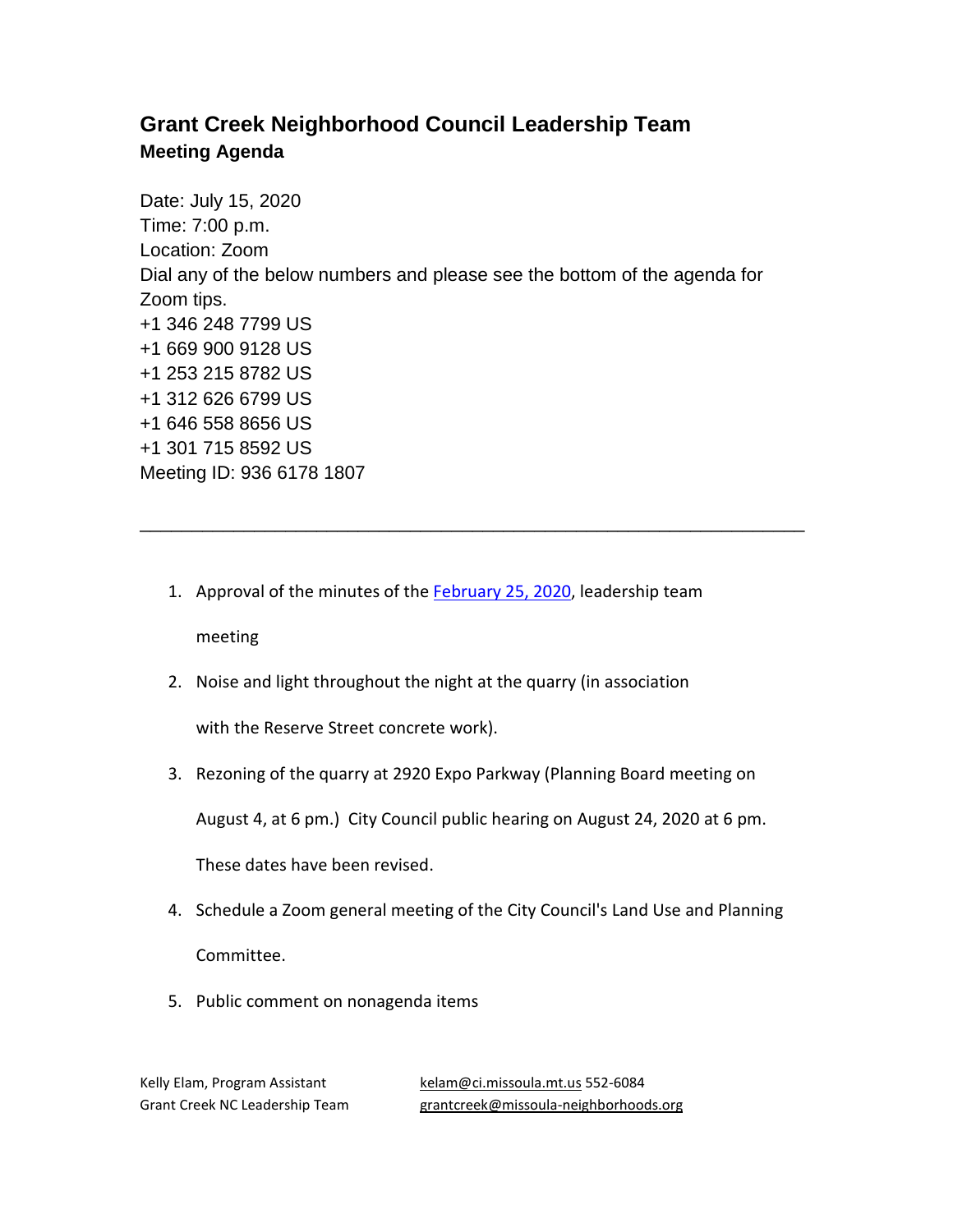## **Grant Creek Neighborhood Council Leadership Team Meeting Agenda**

Date: July 15, 2020 Time: 7:00 p.m. Location: Zoom Dial any of the below numbers and please see the bottom of the agenda for Zoom tips. +1 346 248 7799 US +1 669 900 9128 US +1 253 215 8782 US +1 312 626 6799 US +1 646 558 8656 US +1 301 715 8592 US Meeting ID: 936 6178 1807

1. Approval of the minutes of the **February 25, 2020**, leadership team

\_\_\_\_\_\_\_\_\_\_\_\_\_\_\_\_\_\_\_\_\_\_\_\_\_\_\_\_\_\_\_\_\_\_\_\_\_\_\_\_\_\_\_\_\_\_\_\_\_\_\_\_\_\_\_\_\_\_\_\_\_\_\_\_

meeting

2. Noise and light throughout the night at the quarry (in association

with the Reserve Street concrete work).

3. Rezoning of the quarry at 2920 Expo Parkway (Planning Board meeting on

August 4, at 6 pm.) City Council public hearing on August 24, 2020 at 6 pm.

These dates have been revised.

- 4. Schedule a Zoom general meeting of the City Council's Land Use and Planning Committee.
- 5. Public comment on nonagenda items

Kelly Elam, Program Assistant [kelam@ci.missoula.mt.us](mailto:kelam@ci.missoula.mt.us) 552-6084 Grant Creek NC Leadership Team [grantcreek@missoula-neighborhoods.org](mailto:grantcreek@missoula-neighborhoods.org)